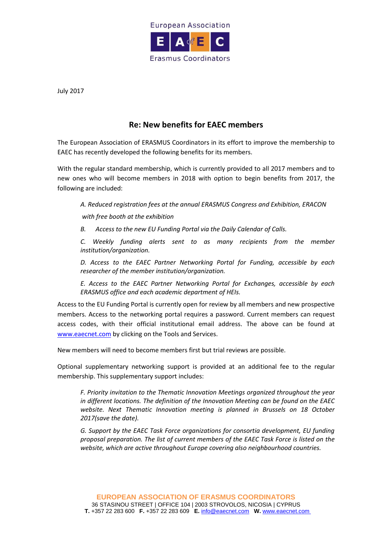

July 2017

## **Re: New benefits for EAEC members**

The European Association of ERASMUS Coordinators in its effort to improve the membership to EAEC has recently developed the following benefits for its members.

With the regular standard membership, which is currently provided to all 2017 members and to new ones who will become members in 2018 with option to begin benefits from 2017, the following are included:

*A. Reduced registration fees at the annual ERASMUS Congress and Exhibition, ERACON with free booth at the exhibition*

*B. Access to the new EU Funding Portal via the Daily Calendar of Calls.*

*C. Weekly funding alerts sent to as many recipients from the member institution/organization.* 

*D. Access to the EAEC Partner Networking Portal for Funding, accessible by each researcher of the member institution/organization.* 

*E. Access to the EAEC Partner Networking Portal for Exchanges, accessible by each ERASMUS office and each academic department of HEIs.* 

Access to the EU Funding Portal is currently open for review by all members and new prospective members. Access to the networking portal requires a password. Current members can request access codes, with their official institutional email address. The above can be found at [www.eaecnet.com](http://www.eaecnet.com/) by clicking on the Tools and Services.

New members will need to become members first but trial reviews are possible.

Optional supplementary networking support is provided at an additional fee to the regular membership. This supplementary support includes:

*F. Priority invitation to the Thematic Innovation Meetings organized throughout the year in different locations. The definition of the Innovation Meeting can be found on the EAEC website. Next Thematic Innovation meeting is planned in Brussels on 18 October 2017(save the date).*

*G. Support by the EAEC Task Force organizations for consortia development, EU funding proposal preparation. The list of current members of the EAEC Task Force is listed on the website, which are active throughout Europe covering also neighbourhood countries.*